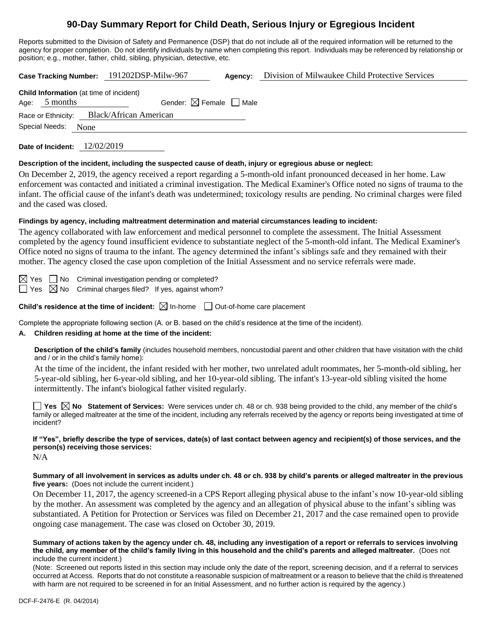# **90-Day Summary Report for Child Death, Serious Injury or Egregious Incident**

Reports submitted to the Division of Safety and Permanence (DSP) that do not include all of the required information will be returned to the agency for proper completion. Do not identify individuals by name when completing this report. Individuals may be referenced by relationship or position; e.g., mother, father, child, sibling, physician, detective, etc.

|                                                                     |                                                            | Case Tracking Number: 191202DSP-Milw-967 | Agency: | Division of Milwaukee Child Protective Services |  |  |
|---------------------------------------------------------------------|------------------------------------------------------------|------------------------------------------|---------|-------------------------------------------------|--|--|
| Age:                                                                | <b>Child Information</b> (at time of incident)<br>5 months | Gender: $\boxtimes$ Female $\Box$ Male   |         |                                                 |  |  |
| Race or Ethnicity: Black/African American<br>Special Needs:<br>None |                                                            |                                          |         |                                                 |  |  |
|                                                                     |                                                            |                                          |         |                                                 |  |  |

**Date of Incident:** 12/02/2019

#### **Description of the incident, including the suspected cause of death, injury or egregious abuse or neglect:**

On December 2, 2019, the agency received a report regarding a 5-month-old infant pronounced deceased in her home. Law enforcement was contacted and initiated a criminal investigation. The Medical Examiner's Office noted no signs of trauma to the infant. The official cause of the infant's death was undetermined; toxicology results are pending. No criminal charges were filed and the cased was closed.

#### **Findings by agency, including maltreatment determination and material circumstances leading to incident:**

The agency collaborated with law enforcement and medical personnel to complete the assessment. The Initial Assessment completed by the agency found insufficient evidence to substantiate neglect of the 5-month-old infant. The Medical Examiner's Office noted no signs of trauma to the infant. The agency determined the infant's siblings safe and they remained with their mother. The agency closed the case upon completion of the Initial Assessment and no service referrals were made.

 $\boxtimes$  Yes  $\Box$  No Criminal investigation pending or completed?  $\Box$  Yes  $\boxtimes$  No Criminal charges filed? If yes, against whom?

**Child's residence at the time of incident:**  $\boxtimes$  In-home  $\Box$  Out-of-home care placement

Complete the appropriate following section (A. or B. based on the child's residence at the time of the incident).

#### **A. Children residing at home at the time of the incident:**

**Description of the child's family** (includes household members, noncustodial parent and other children that have visitation with the child and / or in the child's family home):

At the time of the incident, the infant resided with her mother, two unrelated adult roommates, her 5-month-old sibling, her 5-year-old sibling, her 6-year-old sibling, and her 10-year-old sibling. The infant's 13-year-old sibling visited the home intermittently. The infant's biological father visited regularly.

**Yes No Statement of Services:** Were services under ch. 48 or ch. 938 being provided to the child, any member of the child's family or alleged maltreater at the time of the incident, including any referrals received by the agency or reports being investigated at time of incident?

**If "Yes", briefly describe the type of services, date(s) of last contact between agency and recipient(s) of those services, and the person(s) receiving those services:**

N/A

**Summary of all involvement in services as adults under ch. 48 or ch. 938 by child's parents or alleged maltreater in the previous five years:** (Does not include the current incident.)

On December 11, 2017, the agency screened-in a CPS Report alleging physical abuse to the infant's now 10-year-old sibling by the mother. An assessment was completed by the agency and an allegation of physical abuse to the infant's sibling was substantiated. A Petition for Protection or Services was filed on December 21, 2017 and the case remained open to provide ongoing case management. The case was closed on October 30, 2019.

**Summary of actions taken by the agency under ch. 48, including any investigation of a report or referrals to services involving the child, any member of the child's family living in this household and the child's parents and alleged maltreater.** (Does not include the current incident.)

(Note: Screened out reports listed in this section may include only the date of the report, screening decision, and if a referral to services occurred at Access. Reports that do not constitute a reasonable suspicion of maltreatment or a reason to believe that the child is threatened with harm are not required to be screened in for an Initial Assessment, and no further action is required by the agency.)